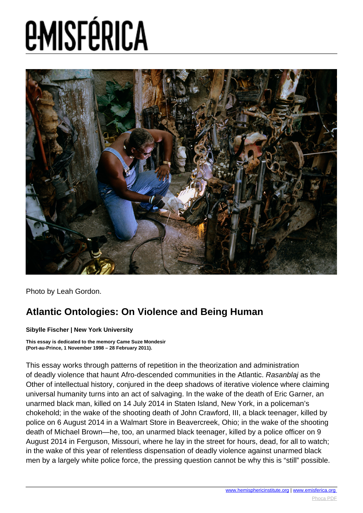

Photo by Leah Gordon.

#### **Atlantic Ontologies: On Violence and Being Human**

**Sibylle Fischer | New York University**

**This essay is dedicated to the memory Came Suze Mondesir (Port-au-Prince, 1 November 1998 – 28 February 2011).**

This essay works through patterns of repetition in the theorization and administration of deadly violence that haunt Afro-descended communities in the Atlantic. Rasanblaj as the Other of intellectual history, conjured in the deep shadows of iterative violence where claiming universal humanity turns into an act of salvaging. In the wake of the death of Eric Garner, an unarmed black man, killed on 14 July 2014 in Staten Island, New York, in a policeman's chokehold; in the wake of the shooting death of John Crawford, III, a black teenager, killed by police on 6 August 2014 in a Walmart Store in Beavercreek, Ohio; in the wake of the shooting death of Michael Brown—he, too, an unarmed black teenager, killed by a police officer on 9 August 2014 in Ferguson, Missouri, where he lay in the street for hours, dead, for all to watch; in the wake of this year of relentless dispensation of deadly violence against unarmed black men by a largely white police force, the pressing question cannot be why this is "still" possible.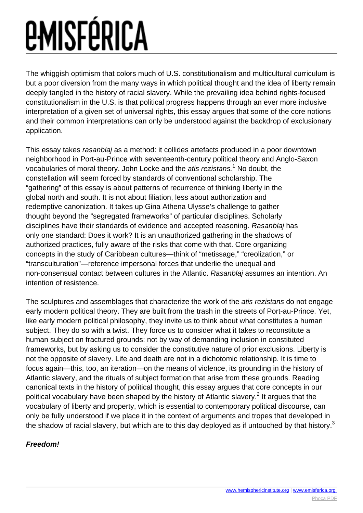The whiggish optimism that colors much of U.S. constitutionalism and multicultural curriculum is but a poor diversion from the many ways in which political thought and the idea of liberty remain deeply tangled in the history of racial slavery. While the prevailing idea behind rights-focused constitutionalism in the U.S. is that political progress happens through an ever more inclusive interpretation of a given set of universal rights, this essay argues that some of the core notions and their common interpretations can only be understood against the backdrop of exclusionary application.

This essay takes rasanblaj as a method: it collides artefacts produced in a poor downtown neighborhood in Port-au-Prince with seventeenth-century political theory and Anglo-Saxon vocabularies of moral theory. John Locke and the atis rezistans.<sup>1</sup> No doubt, the constellation will seem forced by standards of conventional scholarship. The "gathering" of this essay is about patterns of recurrence of thinking liberty in the global north and south. It is not about filiation, less about authorization and redemptive canonization. It takes up Gina Athena Ulysse's challenge to gather thought beyond the "segregated frameworks" of particular disciplines. Scholarly disciplines have their standards of evidence and accepted reasoning. Rasanblaj has only one standard: Does it work? It is an unauthorized gathering in the shadows of authorized practices, fully aware of the risks that come with that. Core organizing concepts in the study of Caribbean cultures—think of "metissage," "creolization," or "transculturation"—reference impersonal forces that underlie the unequal and non-consensual contact between cultures in the Atlantic. Rasanblaj assumes an intention. An intention of resistence.

The sculptures and assemblages that characterize the work of the *atis rezistans* do not engage early modern political theory. They are built from the trash in the streets of Port-au-Prince. Yet, like early modern political philosophy, they invite us to think about what constitutes a human subject. They do so with a twist. They force us to consider what it takes to reconstitute a human subject on fractured grounds: not by way of demanding inclusion in constituted frameworks, but by asking us to consider the constitutive nature of prior exclusions. Liberty is not the opposite of slavery. Life and death are not in a dichotomic relationship. It is time to focus again—this, too, an iteration—on the means of violence, its grounding in the history of Atlantic slavery, and the rituals of subject formation that arise from these grounds. Reading canonical texts in the history of political thought, this essay argues that core concepts in our political vocabulary have been shaped by the history of Atlantic slavery.<sup>2</sup> It argues that the vocabulary of liberty and property, which is essential to contemporary political discourse, can only be fully understood if we place it in the context of arguments and tropes that developed in the shadow of racial slavery, but which are to this day deployed as if untouched by that history.<sup>3</sup>

#### **Freedom!**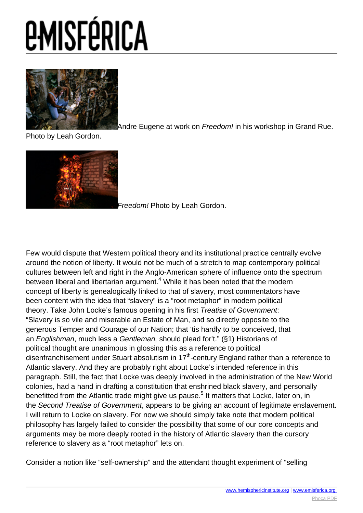

[A](images/e-misferica/11.2_images/112_lg_Fischer_02.jpg)ndre Eugene at work on Freedom! in his workshop in Grand Rue.

Photo by Leah Gordon.



[F](images/e-misferica/11.2_images/112_lg_Fischer_03.jpg)reedom! Photo by Leah Gordon.

Few would dispute that Western political theory and its institutional practice centrally evolve around the notion of liberty. It would not be much of a stretch to map contemporary political cultures between left and right in the Anglo-American sphere of influence onto the spectrum between liberal and libertarian argument.<sup>4</sup> While it has been noted that the modern concept of liberty is genealogically linked to that of slavery, most commentators have been content with the idea that "slavery" is a "root metaphor" in modern political theory. Take John Locke's famous opening in his first Treatise of Government: "Slavery is so vile and miserable an Estate of Man, and so directly opposite to the generous Temper and Courage of our Nation; that 'tis hardly to be conceived, that an Englishman, much less a Gentleman, should plead for't." (§1) Historians of political thought are unanimous in glossing this as a reference to political disenfranchisement under Stuart absolutism in  $17<sup>th</sup>$ -century England rather than a reference to Atlantic slavery. And they are probably right about Locke's intended reference in this paragraph. Still, the fact that Locke was deeply involved in the administration of the New World colonies, had a hand in drafting a constitution that enshrined black slavery, and personally benefitted from the Atlantic trade might give us pause.<sup>5</sup> It matters that Locke, later on, in the Second Treatise of Government, appears to be giving an account of legitimate enslavement. I will return to Locke on slavery. For now we should simply take note that modern political philosophy has largely failed to consider the possibility that some of our core concepts and arguments may be more deeply rooted in the history of Atlantic slavery than the cursory reference to slavery as a "root metaphor" lets on.

Consider a notion like "self-ownership" and the attendant thought experiment of "selling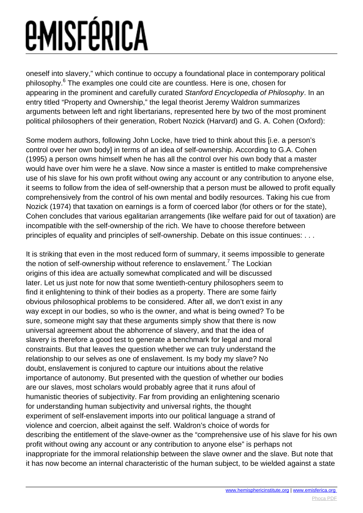oneself into slavery," which continue to occupy a foundational place in contemporary political philosophy.<sup>6</sup> The examples one could cite are countless. Here is one, chosen for appearing in the prominent and carefully curated Stanford Encyclopedia of Philosophy. In an entry titled "Property and Ownership," the legal theorist Jeremy Waldron summarizes arguments between left and right libertarians, represented here by two of the most prominent political philosophers of their generation, Robert Nozick (Harvard) and G. A. Cohen (Oxford):

Some modern authors, following John Locke, have tried to think about this [i.e. a person's control over her own body] in terms of an idea of self-ownership. According to G.A. Cohen (1995) a person owns himself when he has all the control over his own body that a master would have over him were he a slave. Now since a master is entitled to make comprehensive use of his slave for his own profit without owing any account or any contribution to anyone else, it seems to follow from the idea of self-ownership that a person must be allowed to profit equally comprehensively from the control of his own mental and bodily resources. Taking his cue from Nozick (1974) that taxation on earnings is a form of coerced labor (for others or for the state), Cohen concludes that various egalitarian arrangements (like welfare paid for out of taxation) are incompatible with the self-ownership of the rich. We have to choose therefore between principles of equality and principles of self-ownership. Debate on this issue continues: . . .

It is striking that even in the most reduced form of summary, it seems impossible to generate the notion of self-ownership without reference to enslavement.<sup>7</sup> The Lockian origins of this idea are actually somewhat complicated and will be discussed later. Let us just note for now that some twentieth-century philosophers seem to find it enlightening to think of their bodies as a property. There are some fairly obvious philosophical problems to be considered. After all, we don't exist in any way except in our bodies, so who is the owner, and what is being owned? To be sure, someone might say that these arguments simply show that there is now universal agreement about the abhorrence of slavery, and that the idea of slavery is therefore a good test to generate a benchmark for legal and moral constraints. But that leaves the question whether we can truly understand the relationship to our selves as one of enslavement. Is my body my slave? No doubt, enslavement is conjured to capture our intuitions about the relative importance of autonomy. But presented with the question of whether our bodies are our slaves, most scholars would probably agree that it runs afoul of humanistic theories of subjectivity. Far from providing an enlightening scenario for understanding human subjectivity and universal rights, the thought experiment of self-enslavement imports into our political language a strand of violence and coercion, albeit against the self. Waldron's choice of words for describing the entitlement of the slave-owner as the "comprehensive use of his slave for his own profit without owing any account or any contribution to anyone else" is perhaps not inappropriate for the immoral relationship between the slave owner and the slave. But note that it has now become an internal characteristic of the human subject, to be wielded against a state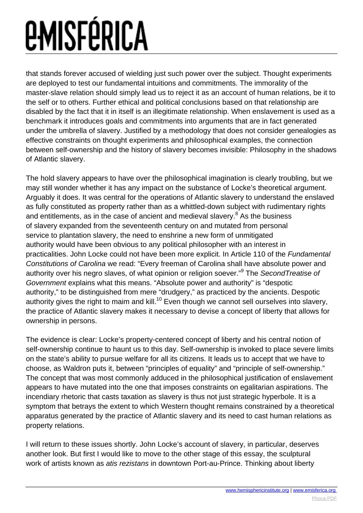that stands forever accused of wielding just such power over the subject. Thought experiments are deployed to test our fundamental intuitions and commitments. The immorality of the master-slave relation should simply lead us to reject it as an account of human relations, be it to the self or to others. Further ethical and political conclusions based on that relationship are disabled by the fact that it in itself is an illegitimate relationship. When enslavement is used as a benchmark it introduces goals and commitments into arguments that are in fact generated under the umbrella of slavery. Justified by a methodology that does not consider genealogies as effective constraints on thought experiments and philosophical examples, the connection between self-ownership and the history of slavery becomes invisible: Philosophy in the shadows of Atlantic slavery.

The hold slavery appears to have over the philosophical imagination is clearly troubling, but we may still wonder whether it has any impact on the substance of Locke's theoretical argument. Arguably it does. It was central for the operations of Atlantic slavery to understand the enslaved as fully constituted as property rather than as a whittled-down subject with rudimentary rights and entitlements, as in the case of ancient and medieval slavery.<sup>8</sup> As the business of slavery expanded from the seventeenth century on and mutated from personal service to plantation slavery, the need to enshrine a new form of unmitigated authority would have been obvious to any political philosopher with an interest in practicalities. John Locke could not have been more explicit. In Article 110 of the Fundamental Constitutions of Carolina we read: "Every freeman of Carolina shall have absolute power and authority over his negro slaves, of what opinion or religion soever."<sup>9</sup> The Seco*ndTreatise of* Government explains what this means. "Absolute power and authority" is "despotic authority," to be distinguished from mere "drudgery," as practiced by the ancients. Despotic authority gives the right to maim and kill.<sup>10</sup> Even though we cannot sell ourselves into slavery, the practice of Atlantic slavery makes it necessary to devise a concept of liberty that allows for ownership in persons.

The evidence is clear: Locke's property-centered concept of liberty and his central notion of self-ownership continue to haunt us to this day. Self-ownership is invoked to place severe limits on the state's ability to pursue welfare for all its citizens. It leads us to accept that we have to choose, as Waldron puts it, between "principles of equality" and "principle of self-ownership." The concept that was most commonly adduced in the philosophical justification of enslavement appears to have mutated into the one that imposes constraints on egalitarian aspirations. The incendiary rhetoric that casts taxation as slavery is thus not just strategic hyperbole. It is a symptom that betrays the extent to which Western thought remains constrained by a theoretical apparatus generated by the practice of Atlantic slavery and its need to cast human relations as property relations.

I will return to these issues shortly. John Locke's account of slavery, in particular, deserves another look. But first I would like to move to the other stage of this essay, the sculptural work of artists known as *atis rezistans* in downtown Port-au-Prince. Thinking about liberty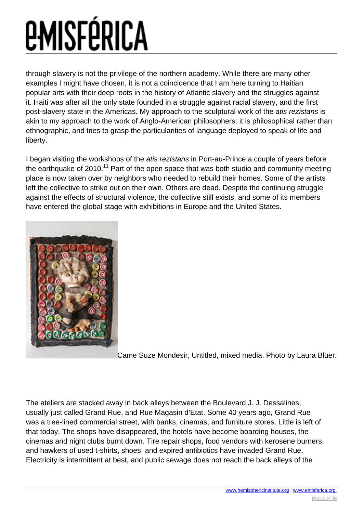through slavery is not the privilege of the northern academy. While there are many other examples I might have chosen, it is not a coincidence that I am here turning to Haitian popular arts with their deep roots in the history of Atlantic slavery and the struggles against it. Haiti was after all the only state founded in a struggle against racial slavery, and the first post-slavery state in the Americas. My approach to the sculptural work of the atis rezistans is akin to my approach to the work of Anglo-American philosophers: it is philosophical rather than ethnographic, and tries to grasp the particularities of language deployed to speak of life and liberty.

I began visiting the workshops of the atis rezistans in Port-au-Prince a couple of years before the earthquake of 2010.<sup>11</sup> Part of the open space that was both studio and community meeting place is now taken over by neighbors who needed to rebuild their homes. Some of the artists left the collective to strike out on their own. Others are dead. Despite the continuing struggle against the effects of structural violence, the collective still exists, and some of its members have entered the global stage with exhibitions in Europe and the United States.



[C](images/e-misferica/11.2_images/112_lg_Fischer_01.jpg)ame Suze Mondesir, Untitled, mixed media. Photo by Laura Blüer.

The ateliers are stacked away in back alleys between the Boulevard J. J. Dessalines, usually just called Grand Rue, and Rue Magasin d'Etat. Some 40 years ago, Grand Rue was a tree-lined commercial street, with banks, cinemas, and furniture stores. Little is left of that today. The shops have disappeared, the hotels have become boarding houses, the cinemas and night clubs burnt down. Tire repair shops, food vendors with kerosene burners, and hawkers of used t-shirts, shoes, and expired antibiotics have invaded Grand Rue. Electricity is intermittent at best, and public sewage does not reach the back alleys of the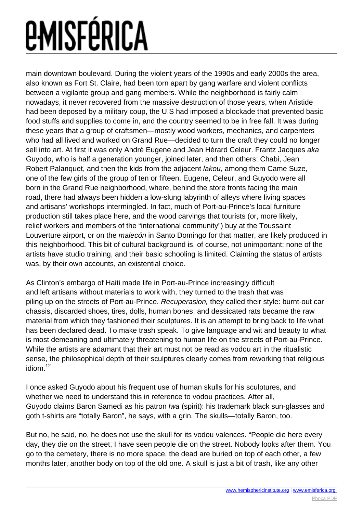main downtown boulevard. During the violent years of the 1990s and early 2000s the area, also known as Fort St. Claire, had been torn apart by gang warfare and violent conflicts between a vigilante group and gang members. While the neighborhood is fairly calm nowadays, it never recovered from the massive destruction of those years, when Aristide had been deposed by a military coup, the U.S had imposed a blockade that prevented basic food stuffs and supplies to come in, and the country seemed to be in free fall. It was during these years that a group of craftsmen—mostly wood workers, mechanics, and carpenters who had all lived and worked on Grand Rue—decided to turn the craft they could no longer sell into art. At first it was only André Eugene and Jean Hérard Celeur. Frantz Jacques aka Guyodo, who is half a generation younger, joined later, and then others: Chabi, Jean Robert Palanquet, and then the kids from the adjacent lakou, among them Came Suze, one of the few girls of the group of ten or fifteen. Eugene, Celeur, and Guyodo were all born in the Grand Rue neighborhood, where, behind the store fronts facing the main road, there had always been hidden a low-slung labyrinth of alleys where living spaces and artisans' workshops intermingled. In fact, much of Port-au-Prince's local furniture production still takes place here, and the wood carvings that tourists (or, more likely, relief workers and members of the "international community") buy at the Toussaint Louverture airport, or on the *malecón* in Santo Domingo for that matter, are likely produced in this neighborhood. This bit of cultural background is, of course, not unimportant: none of the artists have studio training, and their basic schooling is limited. Claiming the status of artists was, by their own accounts, an existential choice.

As Clinton's embargo of Haiti made life in Port-au-Prince increasingly difficult and left artisans without materials to work with, they turned to the trash that was piling up on the streets of Port-au-Prince. Recuperasion, they called their style: burnt-out car chassis, discarded shoes, tires, dolls, human bones, and dessicated rats became the raw material from which they fashioned their sculptures. It is an attempt to bring back to life what has been declared dead. To make trash speak. To give language and wit and beauty to what is most demeaning and ultimately threatening to human life on the streets of Port-au-Prince. While the artists are adamant that their art must not be read as vodou art in the ritualistic sense, the philosophical depth of their sculptures clearly comes from reworking that religious idiom.<sup>12</sup>

I once asked Guyodo about his frequent use of human skulls for his sculptures, and whether we need to understand this in reference to vodou practices. After all, Guyodo claims Baron Samedi as his patron lwa (spirit): his trademark black sun-glasses and goth t-shirts are "totally Baron", he says, with a grin. The skulls—totally Baron, too.

But no, he said, no, he does not use the skull for its vodou valences. "People die here every day, they die on the street, I have seen people die on the street. Nobody looks after them. You go to the cemetery, there is no more space, the dead are buried on top of each other, a few months later, another body on top of the old one. A skull is just a bit of trash, like any other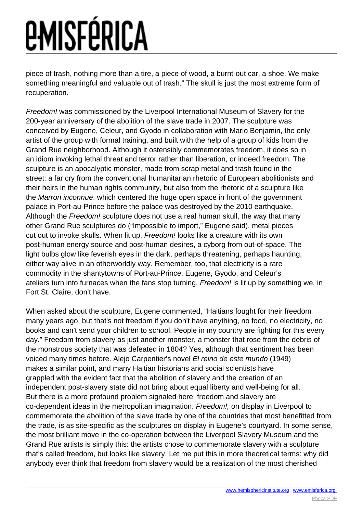piece of trash, nothing more than a tire, a piece of wood, a burnt-out car, a shoe. We make something meaningful and valuable out of trash." The skull is just the most extreme form of recuperation.

Freedom! was commissioned by the Liverpool International Museum of Slavery for the 200-year anniversary of the abolition of the slave trade in 2007. The sculpture was conceived by Eugene, Celeur, and Gyodo in collaboration with Mario Benjamin, the only artist of the group with formal training, and built with the help of a group of kids from the Grand Rue neighborhood. Although it ostensibly commemorates freedom, it does so in an idiom invoking lethal threat and terror rather than liberation, or indeed freedom. The sculpture is an apocalyptic monster, made from scrap metal and trash found in the street: a far cry from the conventional humanitarian rhetoric of European abolitionists and their heirs in the human rights community, but also from the rhetoric of a sculpture like the Marron inconnue, which centered the huge open space in front of the government palace in Port-au-Prince before the palace was destroyed by the 2010 earthquake. Although the Freedom! sculpture does not use a real human skull, the way that many other Grand Rue sculptures do ("Impossible to import," Eugene said), metal pieces cut out to invoke skulls. When lit up, Freedom! looks like a creature with its own post-human energy source and post-human desires, a cyborg from out-of-space. The light bulbs glow like feverish eyes in the dark, perhaps threatening, perhaps haunting, either way alive in an otherworldly way. Remember, too, that electricity is a rare commodity in the shantytowns of Port-au-Prince. Eugene, Gyodo, and Celeur's ateliers turn into furnaces when the fans stop turning. Freedom! is lit up by something we, in Fort St. Claire, don't have.

When asked about the sculpture, Eugene commented, "Haitians fought for their freedom many years ago, but that's not freedom if you don't have anything, no food, no electricity, no books and can't send your children to school. People in my country are fighting for this every day." Freedom from slavery as just another monster, a monster that rose from the debris of the monstrous society that was defeated in 1804? Yes, although that sentiment has been voiced many times before. Alejo Carpentier's novel El reino de este mundo (1949) makes a similar point, and many Haitian historians and social scientists have grappled with the evident fact that the abolition of slavery and the creation of an independent post-slavery state did not bring about equal liberty and well-being for all. But there is a more profound problem signaled here: freedom and slavery are co-dependent ideas in the metropolitan imagination. Freedom!, on display in Liverpool to commemorate the abolition of the slave trade by one of the countries that most benefitted from the trade, is as site-specific as the sculptures on display in Eugene's courtyard. In some sense, the most brilliant move in the co-operation between the Liverpool Slavery Museum and the Grand Rue artists is simply this: the artists chose to commemorate slavery with a sculpture that's called freedom, but looks like slavery. Let me put this in more theoretical terms: why did anybody ever think that freedom from slavery would be a realization of the most cherished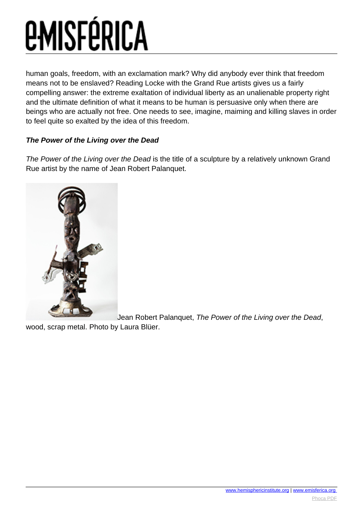human goals, freedom, with an exclamation mark? Why did anybody ever think that freedom means not to be enslaved? Reading Locke with the Grand Rue artists gives us a fairly compelling answer: the extreme exaltation of individual liberty as an unalienable property right and the ultimate definition of what it means to be human is persuasive only when there are beings who are actually not free. One needs to see, imagine, maiming and killing slaves in order to feel quite so exalted by the idea of this freedom.

#### **The Power of the Living over the Dead**

The Power of the Living over the Dead is the title of a sculpture by a relatively unknown Grand Rue artist by the name of Jean Robert Palanquet.



[J](images/e-misferica/11.2_images/112_lg_Fischer_04.jpg)ean Robert Palanquet, The Power of the Living over the Dead,

wood, scrap metal. Photo by Laura Blüer.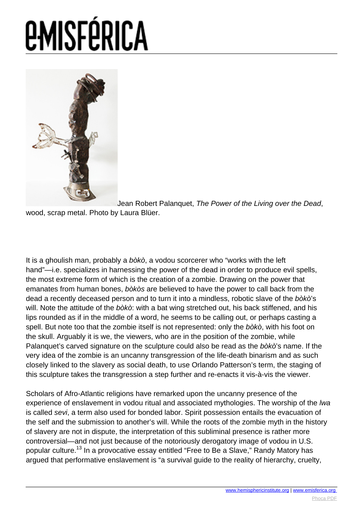

[J](images/e-misferica/11.2_images/112_lg_Fischer_05.jpg)ean Robert Palanquet, The Power of the Living over the Dead, wood, scrap metal. Photo by Laura Blüer.

It is a ghoulish man, probably a bòkò, a vodou scorcerer who "works with the left hand"—i.e. specializes in harnessing the power of the dead in order to produce evil spells, the most extreme form of which is the creation of a zombie. Drawing on the power that emanates from human bones, bòkòs are believed to have the power to call back from the dead a recently deceased person and to turn it into a mindless, robotic slave of the bòkò's will. Note the attitude of the bòkò: with a bat wing stretched out, his back stiffened, and his lips rounded as if in the middle of a word, he seems to be calling out, or perhaps casting a spell. But note too that the zombie itself is not represented: only the bòkò, with his foot on the skull. Arguably it is we, the viewers, who are in the position of the zombie, while Palanquet's carved signature on the sculpture could also be read as the bòkò's name. If the very idea of the zombie is an uncanny transgression of the life-death binarism and as such closely linked to the slavery as social death, to use Orlando Patterson's term, the staging of this sculpture takes the transgression a step further and re-enacts it vis-à-vis the viewer.

Scholars of Afro-Atlantic religions have remarked upon the uncanny presence of the experience of enslavement in vodou ritual and associated mythologies. The worship of the *lwa* is called sevi, a term also used for bonded labor. Spirit possession entails the evacuation of the self and the submission to another's will. While the roots of the zombie myth in the history of slavery are not in dispute, the interpretation of this subliminal presence is rather more controversial—and not just because of the notoriously derogatory image of vodou in U.S. popular culture.<sup>13</sup> In a provocative essay entitled "Free to Be a Slave," Randy Matory has argued that performative enslavement is "a survival guide to the reality of hierarchy, cruelty,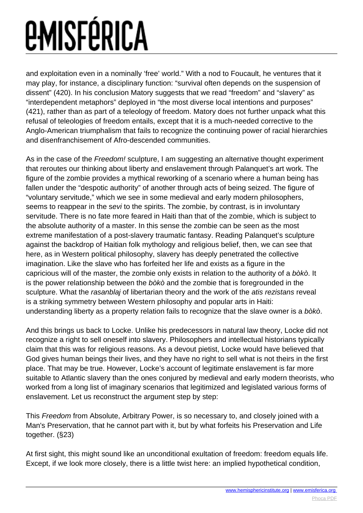and exploitation even in a nominally 'free' world." With a nod to Foucault, he ventures that it may play, for instance, a disciplinary function: "survival often depends on the suspension of dissent" (420). In his conclusion Matory suggests that we read "freedom" and "slavery" as "interdependent metaphors" deployed in "the most diverse local intentions and purposes" (421), rather than as part of a teleology of freedom. Matory does not further unpack what this refusal of teleologies of freedom entails, except that it is a much-needed corrective to the Anglo-American triumphalism that fails to recognize the continuing power of racial hierarchies and disenfranchisement of Afro-descended communities.

As in the case of the Freedom! sculpture, I am suggesting an alternative thought experiment that reroutes our thinking about liberty and enslavement through Palanquet's art work. The figure of the zombie provides a mythical reworking of a scenario where a human being has fallen under the "despotic authority" of another through acts of being seized. The figure of "voluntary servitude," which we see in some medieval and early modern philosophers, seems to reappear in the sevi to the spirits. The zombie, by contrast, is in involuntary servitude. There is no fate more feared in Haiti than that of the zombie, which is subject to the absolute authority of a master. In this sense the zombie can be seen as the most extreme manifestation of a post-slavery traumatic fantasy. Reading Palanquet's sculpture against the backdrop of Haitian folk mythology and religious belief, then, we can see that here, as in Western political philosophy, slavery has deeply penetrated the collective imagination. Like the slave who has forfeited her life and exists as a figure in the capricious will of the master, the zombie only exists in relation to the authority of a bòkò. It is the power relationship between the bòkò and the zombie that is foregrounded in the sculpture. What the rasanblaj of libertarian theory and the work of the atis rezistans reveal is a striking symmetry between Western philosophy and popular arts in Haiti: understanding liberty as a property relation fails to recognize that the slave owner is a bòkò.

And this brings us back to Locke. Unlike his predecessors in natural law theory, Locke did not recognize a right to sell oneself into slavery. Philosophers and intellectual historians typically claim that this was for religious reasons. As a devout pietist, Locke would have believed that God gives human beings their lives, and they have no right to sell what is not theirs in the first place. That may be true. However, Locke's account of legitimate enslavement is far more suitable to Atlantic slavery than the ones conjured by medieval and early modern theorists, who worked from a long list of imaginary scenarios that legitimized and legislated various forms of enslavement. Let us reconstruct the argument step by step:

This Freedom from Absolute, Arbitrary Power, is so necessary to, and closely joined with a Man's Preservation, that he cannot part with it, but by what forfeits his Preservation and Life together. (§23)

At first sight, this might sound like an unconditional exultation of freedom: freedom equals life. Except, if we look more closely, there is a little twist here: an implied hypothetical condition,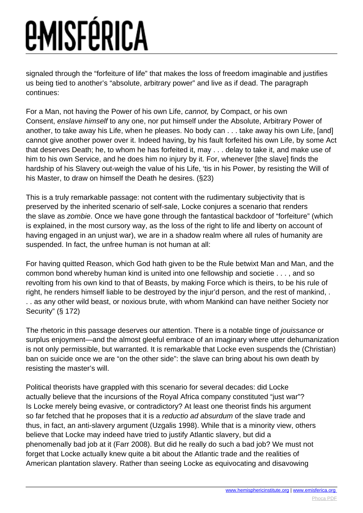signaled through the "forfeiture of life" that makes the loss of freedom imaginable and justifies us being tied to another's "absolute, arbitrary power" and live as if dead. The paragraph continues:

For a Man, not having the Power of his own Life, cannot, by Compact, or his own Consent, enslave himself to any one, nor put himself under the Absolute, Arbitrary Power of another, to take away his Life, when he pleases. No body can . . . take away his own Life, [and] cannot give another power over it. Indeed having, by his fault forfeited his own Life, by some Act that deserves Death; he, to whom he has forfeited it, may . . . delay to take it, and make use of him to his own Service, and he does him no injury by it. For, whenever [the slave] finds the hardship of his Slavery out-weigh the value of his Life, 'tis in his Power, by resisting the Will of his Master, to draw on himself the Death he desires. (§23)

This is a truly remarkable passage: not content with the rudimentary subjectivity that is preserved by the inherited scenario of self-sale, Locke conjures a scenario that renders the slave as zombie. Once we have gone through the fantastical backdoor of "forfeiture" (which is explained, in the most cursory way, as the loss of the right to life and liberty on account of having engaged in an unjust war), we are in a shadow realm where all rules of humanity are suspended. In fact, the unfree human is not human at all:

For having quitted Reason, which God hath given to be the Rule betwixt Man and Man, and the common bond whereby human kind is united into one fellowship and societie . . . , and so revolting from his own kind to that of Beasts, by making Force which is theirs, to be his rule of right, he renders himself liable to be destroyed by the injur'd person, and the rest of mankind, . . . as any other wild beast, or noxious brute, with whom Mankind can have neither Society nor Security" (§ 172)

The rhetoric in this passage deserves our attention. There is a notable tinge of jouissance or surplus enjoyment—and the almost gleeful embrace of an imaginary where utter dehumanization is not only permissible, but warranted. It is remarkable that Locke even suspends the (Christian) ban on suicide once we are "on the other side": the slave can bring about his own death by resisting the master's will.

Political theorists have grappled with this scenario for several decades: did Locke actually believe that the incursions of the Royal Africa company constituted "just war"? Is Locke merely being evasive, or contradictory? At least one theorist finds his argument so far fetched that he proposes that it is a reductio ad absurdum of the slave trade and thus, in fact, an anti-slavery argument (Uzgalis 1998). While that is a minority view, others believe that Locke may indeed have tried to justify Atlantic slavery, but did a phenomenally bad job at it (Farr 2008). But did he really do such a bad job? We must not forget that Locke actually knew quite a bit about the Atlantic trade and the realities of American plantation slavery. Rather than seeing Locke as equivocating and disavowing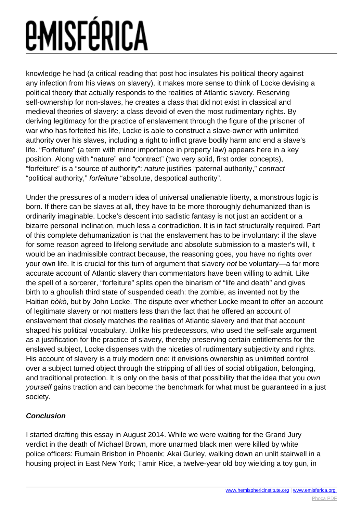knowledge he had (a critical reading that post hoc insulates his political theory against any infection from his views on slavery), it makes more sense to think of Locke devising a political theory that actually responds to the realities of Atlantic slavery. Reserving self-ownership for non-slaves, he creates a class that did not exist in classical and medieval theories of slavery: a class devoid of even the most rudimentary rights. By deriving legitimacy for the practice of enslavement through the figure of the prisoner of war who has forfeited his life, Locke is able to construct a slave-owner with unlimited authority over his slaves, including a right to inflict grave bodily harm and end a slave's life. "Forfeiture" (a term with minor importance in property law) appears here in a key position. Along with "nature" and "contract" (two very solid, first order concepts), "forfeiture" is a "source of authority": nature justifies "paternal authority," contract "political authority," forfeiture "absolute, despotical authority".

Under the pressures of a modern idea of universal unalienable liberty, a monstrous logic is born. If there can be slaves at all, they have to be more thoroughly dehumanized than is ordinarily imaginable. Locke's descent into sadistic fantasy is not just an accident or a bizarre personal inclination, much less a contradiction. It is in fact structurally required. Part of this complete dehumanization is that the enslavement has to be involuntary: if the slave for some reason agreed to lifelong servitude and absolute submission to a master's will, it would be an inadmissible contract because, the reasoning goes, you have no rights over your own life. It is crucial for this turn of argument that slavery not be voluntary—a far more accurate account of Atlantic slavery than commentators have been willing to admit. Like the spell of a sorcerer, "forfeiture" splits open the binarism of "life and death" and gives birth to a ghoulish third state of suspended death: the zombie, as invented not by the Haitian bòkò, but by John Locke. The dispute over whether Locke meant to offer an account of legitimate slavery or not matters less than the fact that he offered an account of enslavement that closely matches the realities of Atlantic slavery and that that account shaped his political vocabulary. Unlike his predecessors, who used the self-sale argument as a justification for the practice of slavery, thereby preserving certain entitlements for the enslaved subject, Locke dispenses with the niceties of rudimentary subjectivity and rights. His account of slavery is a truly modern one: it envisions ownership as unlimited control over a subject turned object through the stripping of all ties of social obligation, belonging, and traditional protection. It is only on the basis of that possibility that the idea that you own yourself gains traction and can become the benchmark for what must be guaranteed in a just society.

#### **Conclusion**

I started drafting this essay in August 2014. While we were waiting for the Grand Jury verdict in the death of Michael Brown, more unarmed black men were killed by white police officers: Rumain Brisbon in Phoenix; Akai Gurley, walking down an unlit stairwell in a housing project in East New York; Tamir Rice, a twelve-year old boy wielding a toy gun, in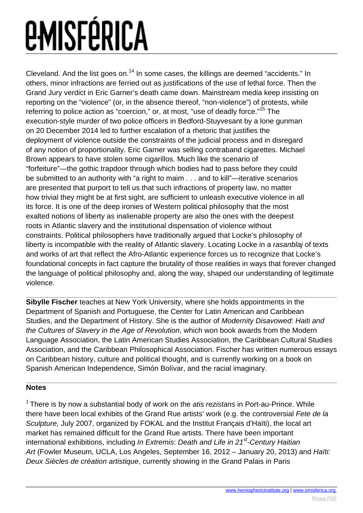Cleveland. And the list goes on.<sup>14</sup> In some cases, the killings are deemed "accidents." In others, minor infractions are ferried out as justifications of the use of lethal force. Then the Grand Jury verdict in Eric Garner's death came down. Mainstream media keep insisting on reporting on the "violence" (or, in the absence thereof, "non-violence") of protests, while referring to police action as "coercion," or, at most, "use of deadly force."<sup>15</sup> The execution-style murder of two police officers in Bedford-Stuyvesant by a lone gunman on 20 December 2014 led to further escalation of a rhetoric that justifies the deployment of violence outside the constraints of the judicial process and in disregard of any notion of proportionality. Eric Garner was selling contraband cigarettes. Michael Brown appears to have stolen some cigarillos. Much like the scenario of "forfeiture"—the gothic trapdoor through which bodies had to pass before they could be submitted to an authority with "a right to maim . . . and to kill"—iterative scenarios are presented that purport to tell us that such infractions of property law, no matter how trivial they might be at first sight, are sufficient to unleash executive violence in all its force. It is one of the deep ironies of Western political philosophy that the most exalted notions of liberty as inalienable property are also the ones with the deepest roots in Atlantic slavery and the institutional dispensation of violence without constraints. Political philosophers have traditionally argued that Locke's philosophy of liberty is incompatible with the reality of Atlantic slavery. Locating Locke in a rasanblaj of texts and works of art that reflect the Afro-Atlantic experience forces us to recognize that Locke's foundational concepts in fact capture the brutality of those realities in ways that forever changed the language of political philosophy and, along the way, shaped our understanding of legitimate violence.

**Sibylle Fischer** teaches at New York University, where she holds appointments in the Department of Spanish and Portuguese, the Center for Latin American and Caribbean Studies, and the Department of History. She is the author of Modernity Disavowed: Haiti and the Cultures of Slavery in the Age of Revolution, which won book awards from the Modern Language Association, the Latin American Studies Association, the Caribbean Cultural Studies Association, and the Caribbean Philosophical Association. Fischer has written numerous essays on Caribbean history, culture and political thought, and is currently working on a book on Spanish American Independence, Simón Bolívar, and the racial imaginary.

#### **Notes**

<sup>1</sup> There is by now a substantial body of work on the *atis rezistans* in Port-au-Prince. While there have been local exhibits of the Grand Rue artists' work (e.g. the controversial Fete de la Sculpture, July 2007, organized by FOKAL and the Institut Français d'Haïti), the local art market has remained difficult for the Grand Rue artists. There have been important international exhibitions, including In Extremis: Death and Life in  $21<sup>st</sup>$ -Century Haitian Art (Fowler Museum, UCLA, Los Angeles, September 16, 2012 – January 20, 2013) and Haïti: Deux Siècles de création artistique, currently showing in the Grand Palais in Paris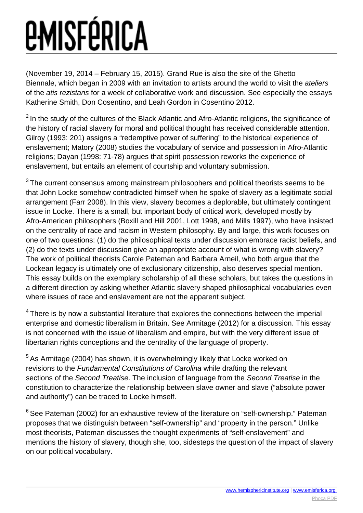(November 19, 2014 – February 15, 2015). Grand Rue is also the site of the Ghetto Biennale, which began in 2009 with an invitation to artists around the world to visit the ateliers of the atis rezistans for a week of collaborative work and discussion. See especially the essays Katherine Smith, Don Cosentino, and Leah Gordon in Cosentino 2012.

 $2$  In the study of the cultures of the Black Atlantic and Afro-Atlantic religions, the significance of the history of racial slavery for moral and political thought has received considerable attention. Gilroy (1993: 201) assigns a "redemptive power of suffering" to the historical experience of enslavement; Matory (2008) studies the vocabulary of service and possession in Afro-Atlantic religions; Dayan (1998: 71-78) argues that spirit possession reworks the experience of enslavement, but entails an element of courtship and voluntary submission.

 $3$  The current consensus among mainstream philosophers and political theorists seems to be that John Locke somehow contradicted himself when he spoke of slavery as a legitimate social arrangement (Farr 2008). In this view, slavery becomes a deplorable, but ultimately contingent issue in Locke. There is a small, but important body of critical work, developed mostly by Afro-American philosophers (Boxill and Hill 2001, Lott 1998, and Mills 1997), who have insisted on the centrality of race and racism in Western philosophy. By and large, this work focuses on one of two questions: (1) do the philosophical texts under discussion embrace racist beliefs, and (2) do the texts under discussion give an appropriate account of what is wrong with slavery? The work of political theorists Carole Pateman and Barbara Arneil, who both argue that the Lockean legacy is ultimately one of exclusionary citizenship, also deserves special mention. This essay builds on the exemplary scholarship of all these scholars, but takes the questions in a different direction by asking whether Atlantic slavery shaped philosophical vocabularies even where issues of race and enslavement are not the apparent subject.

<sup>4</sup> There is by now a substantial literature that explores the connections between the imperial enterprise and domestic liberalism in Britain. See Armitage (2012) for a discussion. This essay is not concerned with the issue of liberalism and empire, but with the very different issue of libertarian rights conceptions and the centrality of the language of property.

 $5$  As Armitage (2004) has shown, it is overwhelmingly likely that Locke worked on revisions to the Fundamental Constitutions of Carolina while drafting the relevant sections of the Second Treatise. The inclusion of language from the Second Treatise in the constitution to characterize the relationship between slave owner and slave ("absolute power and authority") can be traced to Locke himself.

<sup>6</sup> See Pateman (2002) for an exhaustive review of the literature on "self-ownership." Pateman proposes that we distinguish between "self-ownership" and "property in the person." Unlike most theorists, Pateman discusses the thought experiments of "self-enslavement" and mentions the history of slavery, though she, too, sidesteps the question of the impact of slavery on our political vocabulary.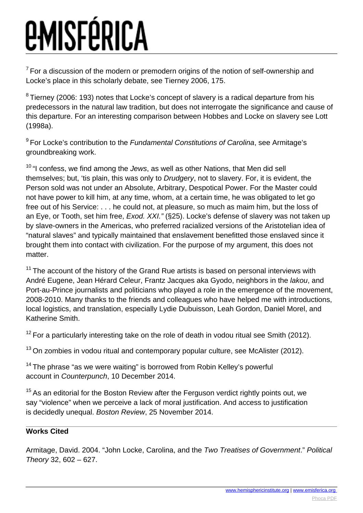$7$  For a discussion of the modern or premodern origins of the notion of self-ownership and Locke's place in this scholarly debate, see Tierney 2006, 175.

 $8$  Tierney (2006: 193) notes that Locke's concept of slavery is a radical departure from his predecessors in the natural law tradition, but does not interrogate the significance and cause of this departure. For an interesting comparison between Hobbes and Locke on slavery see Lott (1998a).

<sup>9</sup> For Locke's contribution to the Fundamental Constitutions of Carolina, see Armitage's groundbreaking work.

 $10$  "I confess, we find among the *Jews*, as well as other Nations, that Men did sell themselves; but, 'tis plain, this was only to *Drudgery*, not to slavery. For, it is evident, the Person sold was not under an Absolute, Arbitrary, Despotical Power. For the Master could not have power to kill him, at any time, whom, at a certain time, he was obligated to let go free out of his Service: . . . he could not, at pleasure, so much as maim him, but the loss of an Eye, or Tooth, set him free, *Exod. XXI.*" (§25). Locke's defense of slavery was not taken up by slave-owners in the Americas, who preferred racialized versions of the Aristotelian idea of "natural slaves" and typically maintained that enslavement benefitted those enslaved since it brought them into contact with civilization. For the purpose of my argument, this does not matter.

 $11$  The account of the history of the Grand Rue artists is based on personal interviews with André Eugene, Jean Hérard Celeur, Frantz Jacques aka Gyodo, neighbors in the lakou, and Port-au-Prince journalists and politicians who played a role in the emergence of the movement, 2008-2010. Many thanks to the friends and colleagues who have helped me with introductions, local logistics, and translation, especially Lydie Dubuisson, Leah Gordon, Daniel Morel, and Katherine Smith.

 $12$  For a particularly interesting take on the role of death in vodou ritual see Smith (2012).

 $13$  On zombies in vodou ritual and contemporary popular culture, see McAlister (2012).

 $14$  The phrase "as we were waiting" is borrowed from Robin Kelley's powerful account in Counterpunch, 10 December 2014.

 $15$  As an editorial for the Boston Review after the Ferguson verdict rightly points out, we say "violence" when we perceive a lack of moral justification. And access to justification is decidedly unequal. Boston Review, 25 November 2014.

#### **Works Cited**

Armitage, David. 2004. "John Locke, Carolina, and the Two Treatises of Government." Political Theory 32, 602 – 627.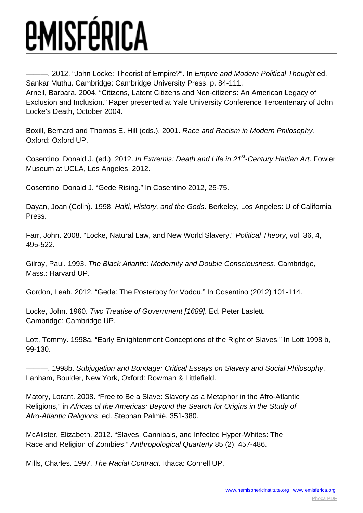-. 2012. "John Locke: Theorist of Empire?". In *Empire and Modern Political Thought* ed. Sankar Muthu. Cambridge: Cambridge University Press, p. 84-111. Arneil, Barbara. 2004. "Citizens, Latent Citizens and Non-citizens: An American Legacy of Exclusion and Inclusion." Paper presented at Yale University Conference Tercentenary of John Locke's Death, October 2004.

Boxill, Bernard and Thomas E. Hill (eds.). 2001. Race and Racism in Modern Philosophy. Oxford: Oxford UP.

Cosentino, Donald J. (ed.). 2012. In Extremis: Death and Life in 21<sup>st</sup>-Century Haitian Art. Fowler Museum at UCLA, Los Angeles, 2012.

Cosentino, Donald J. "Gede Rising." In Cosentino 2012, 25-75.

Dayan, Joan (Colin). 1998. Haiti, History, and the Gods. Berkeley, Los Angeles: U of California Press.

Farr, John. 2008. "Locke, Natural Law, and New World Slavery." Political Theory, vol. 36, 4, 495-522.

Gilroy, Paul. 1993. The Black Atlantic: Modernity and Double Consciousness. Cambridge, Mass.: Harvard UP.

Gordon, Leah. 2012. "Gede: The Posterboy for Vodou." In Cosentino (2012) 101-114.

Locke, John. 1960. Two Treatise of Government [1689]. Ed. Peter Laslett. Cambridge: Cambridge UP.

Lott, Tommy. 1998a. "Early Enlightenment Conceptions of the Right of Slaves." In Lott 1998 b, 99-130.

———. 1998b. Subjugation and Bondage: Critical Essays on Slavery and Social Philosophy. Lanham, Boulder, New York, Oxford: Rowman & Littlefield.

Matory, Lorant. 2008. "Free to Be a Slave: Slavery as a Metaphor in the Afro-Atlantic Religions," in Africas of the Americas: Beyond the Search for Origins in the Study of Afro-Atlantic Religions, ed. Stephan Palmié, 351-380.

McAlister, Elizabeth. 2012. "Slaves, Cannibals, and Infected Hyper-Whites: The Race and Religion of Zombies." Anthropological Quarterly 85 (2): 457-486.

Mills, Charles. 1997. The Racial Contract. Ithaca: Cornell UP.